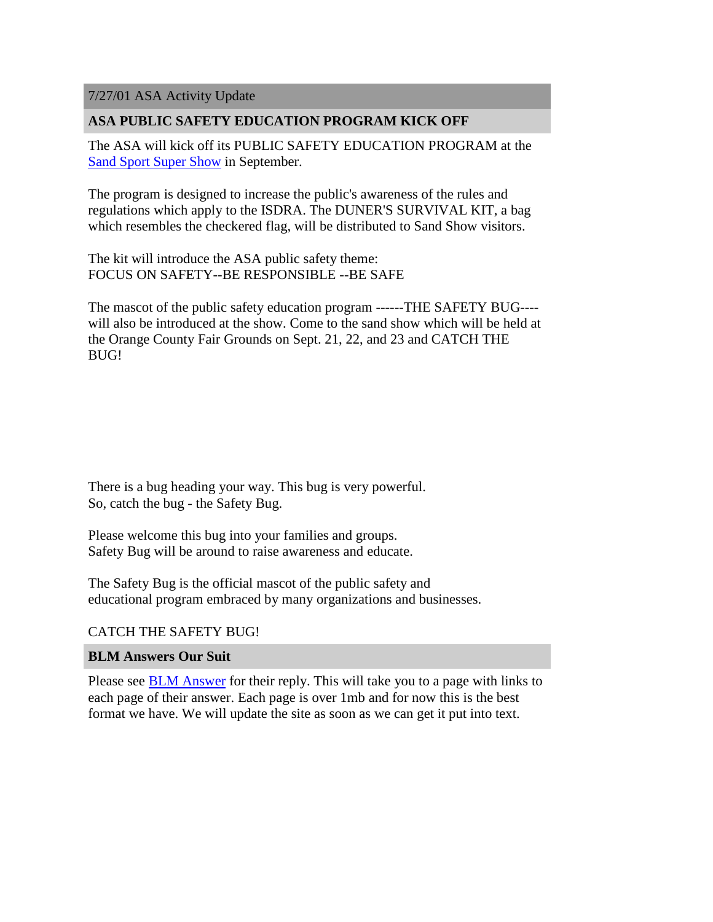7/27/01 ASA Activity Update

# **ASA PUBLIC SAFETY EDUCATION PROGRAM KICK OFF**

The ASA will kick off its PUBLIC SAFETY EDUCATION PROGRAM at the [Sand Sport Super Show](http://www.sandsportssupershow.com/index.htm) in September.

The program is designed to increase the public's awareness of the rules and regulations which apply to the ISDRA. The DUNER'S SURVIVAL KIT, a bag which resembles the checkered flag, will be distributed to Sand Show visitors.

The kit will introduce the ASA public safety theme: FOCUS ON SAFETY--BE RESPONSIBLE --BE SAFE

The mascot of the public safety education program ------THE SAFETY BUG--- will also be introduced at the show. Come to the sand show which will be held at the Orange County Fair Grounds on Sept. 21, 22, and 23 and CATCH THE BUG!

There is a bug heading your way. This bug is very powerful. So, catch the bug - the Safety Bug.

Please welcome this bug into your families and groups. Safety Bug will be around to raise awareness and educate.

The Safety Bug is the official mascot of the public safety and educational program embraced by many organizations and businesses.

## CATCH THE SAFETY BUG!

## **BLM Answers Our Suit**

Please see BLM Answer for their reply. This will take you to a page with links to each page of their answer. Each page is over 1mb and for now this is the best format we have. We will update the site as soon as we can get it put into text.